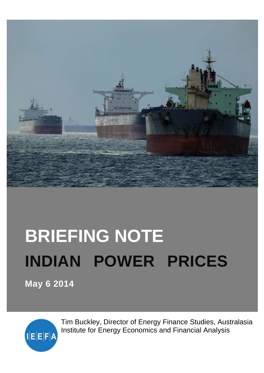

# **BRIEFING NOTE INDIAN POWER PRICES**

**May 6 2014**



Tim Buckley, Director of Energy Finance Studies, Australasia Institute for Energy Economics and Financial Analysis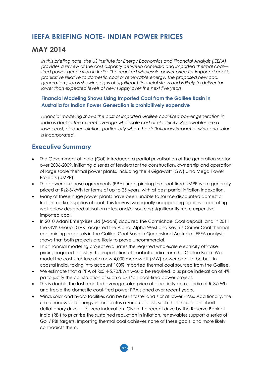# **IEEFA BRIEFING NOTE- INDIAN POWER PRICES**

## **MAY 2014**

*In this briefing note, the US Institute for Energy Economics and Financial Analysis (IEEFA) provides a review of the cost disparity between domestic and imported thermal coal fired power generation in India. The required wholesale power price for imported coal is prohibitive relative to domestic coal or renewable energy. The proposed new coal generation plan is showing signs of significant financial stress and is likely to deliver far lower than expected levels of new supply over the next five years.*

#### **Financial Modeling Shows Using Imported Coal from the Galilee Basin in Australia for Indian Power Generation is prohibitively expensive**

*Financial modeling shows the cost of imported Galilee coal-fired power generation in India is double the current average wholesale cost of electricity. Renewables are a lower cost, cleaner solution, particularly when the deflationary impact of wind and solar is incorporated.*

### **Executive Summary**

- The Government of India (GoI) introduced a partial privatisation of the generation sector over 2006-2009, initiating a series of tenders for the construction, ownership and operation of large scale thermal power plants, including the 4 Gigawatt (GW) Ultra Mega Power Projects (UMPP).
- The power purchase agreements (PPA) underpinning the coal-fired UMPP were generally priced at Rs2-3/kWh for terms of up to 25 years, with at best partial inflation indexation.
- Many of these huge power plants have been unable to source discounted domestic Indian market supplies of coal. This leaves two equally unappealing options – operating well below designed utilisation rates, and/or sourcing significantly more expensive imported coal.
- In 2010 Adani Enterprises Ltd (Adani) acquired the Carmichael Coal deposit, and in 2011 the GVK Group (GVK) acquired the Alpha, Alpha West and Kevin's Corner Coal thermal coal mining proposals in the Galilee Coal Basin in Queensland Australia. IEEFA analysis shows that both projects are likely to prove uncommercial.
- This financial modeling project evaluates the required wholesale electricity off-take pricing required to justify the importation of coal into India from the Galilee Basin. We model the cost structure of a new 4,000 megawatt (MW) power plant to be built in coastal India, taking into account 100% imported thermal coal sourced from the Galilee.
- We estimate that a PPA of Rs5.4-5.70/kWh would be required, plus price indexation of 4% pa to justify the construction of such a US\$4bn coal-fired power project.
- This is double the last reported average sales price of electricity across India of Rs3/kWh and treble the domestic coal-fired power PPA signed over recent years.
- Wind, solar and hydro facilities can be built faster and / or at lower PPAs. Additionally, the use of renewable energy incorporates a zero fuel cost, such that there is an inbuilt deflationary driver – i.e. zero indexation. Given the recent drive by the Reserve Bank of India (RBI) to prioritise the sustained reduction in inflation, renewables support a series of GoI / RBI targets. Importing thermal coal achieves none of these goals, and more likely contradicts them.

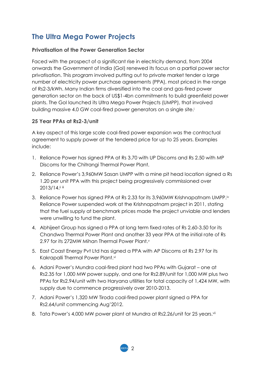# **The Ultra Mega Power Projects**

#### **Privatisation of the Power Generation Sector**

Faced with the prospect of a significant rise in electricity demand, from 2004 onwards the Government of India (GoI) renewed its focus on a partial power sector privatisation. This program involved putting out to private market tender a large number of electricity power purchase agreements (PPA), most priced in the range of Rs2-3/kWh. Many Indian firms diversified into the coal and gas-fired power generation sector on the back of US\$1-4bn commitments to build greenfield power plants. The GoI launched its Ultra Mega Power Projects (UMPP), that involved building massive 4.0 GW coal-fired power generators on a single site.<sup>i</sup>

#### **25 Year PPAs at Rs2-3/unit**

A key aspect of this large scale coal-fired power expansion was the contractual agreement to supply power at the tendered price for up to 25 years. Examples include:

- 1. Reliance Power has signed PPA at Rs 3.70 with UP Discoms and Rs 2.50 with MP Discoms for the Chitrangi Thermal Power Plant.
- 2. Reliance Power's 3,960MW Sasan UMPP with a mine pit head location signed a Rs 1.20 per unit PPA with this project being progressively commissioned over 2013/14.ii iii
- 3. Reliance Power has signed PPA at Rs 2.33 for its 3,960MW Krishnapatnam UMPP.<sup>iv</sup> Reliance Power suspended work at the Krishnapatnam project in 2011, stating that the fuel supply at benchmark prices made the project unviable and lenders were unwilling to fund the plant.
- 4. Abhijeet Group has signed a PPA at long term fixed rates of Rs 2.60-3.50 for its Chandwa Thermal Power Plant and another 33 year PPA at the initial rate of Rs 2.97 for its 272MW Mihan Thermal Power Plant.<sup>v</sup>
- 5. East Coast Energy Pvt Ltd has signed a PPA with AP Discoms at Rs 2.97 for its Kakrapalli Thermal Power Plant.vi
- 6. Adani Power's Mundra coal-fired plant had two PPAs with Gujarat one at Rs2.35 for 1,000 MW power supply, and one for Rs2.89/unit for 1,000 MW plus two PPAs for Rs2.94/unit with two Haryana utilities for total capacity of 1,424 MW, with supply due to commence progressively over 2010-2013.
- 7. Adani Power's 1,320 MW Tiroda coal-fired power plant signed a PPA for Rs2.64/unit commencing Aug'2012.
- 8. Tata Power's 4,000 MW power plant at Mundra at Rs2.26/unit for 25 years.vii

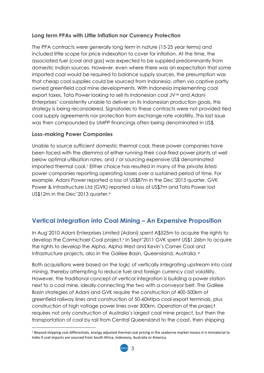#### **Long term PPAs with Little Inflation nor Currency Protection**

The PPA contracts were generally long term in nature (15-25 year terms) and included little scope for price indexation to cover for inflation. At the time, the associated fuel (coal and gas) was expected to be supplied predominantly from domestic Indian sources. However, even where there was an expectation that some imported coal would be required to balance supply sources, the presumption was that cheap coal supplies could be sourced from Indonesia, often via captive partly owned greenfield coal mine developments. With Indonesia implementing coal export taxes, Tata Power looking to sell its Indonesian coal JV<sup>Viii</sup> and Adani Enterprises' consistently unable to deliver on its Indonesian production goals, this strategy is being reconsidered. Signatories to these contracts were not provided tied coal supply agreements nor protection from exchange rate volatility. This last issue was then compounded by UMPP financings often being denominated in US\$.

#### **Loss-making Power Companies**

**.** 

Unable to source sufficient domestic thermal coal, these power companies have been faced with the dilemma of either running their coal-fired power plants at well below optimal utilisation rates, and / or sourcing expensive US\$ denominated imported thermal coal.<sup>1</sup> Either choice has resulted in many of the private listed power companies reporting operating losses over a sustained period of time. For example, Adani Power reported a loss of US\$87m in the Dec'2013 quarter. GVK Power & Infrastructure Ltd (GVK) reported a loss of US\$7m and Tata Power lost US\$12m in the Dec'2013 quarter.<sup>ix</sup>

## **Vertical Integration into Coal Mining – An Expensive Proposition**

In Aug'2010 Adani Enterprises Limited (Adani) spent A\$525m to acquire the rights to develop the Carmichael Coal project.<sup>x</sup> In Sept'2011 GVK spent US\$1.26bn to acquire the rights to develop the Alpha, Alpha West and Kevin's Corner Coal and Infrastructure projects, also in the Galilee Basin, Queensland, Australia.<sup>xi</sup>

Both acquisitions were based on the logic of vertically integrating upstream into coal mining, thereby attempting to reduce fuel and foreign currency cost volatility. However, the traditional concept of vertical integration is building a power station next to a coal mine, ideally connecting the two with a conveyor belt. The Galilee Basin strategies of Adani and GVK require the construction of 400-500km of greenfield railway lines and construction of 50-60Mtpa coal export terminals, plus construction of high voltage power lines over 300km. Operation of the project requires not only construction of Australia's largest coal mine project, but then the transportation of coal by rail from Central Queensland to the coast, then shipping

<sup>1</sup> Beyond shipping cost differentials, energy adjusted thermal coal pricing in the seaborne market means it is immaterial to India if coal imports are sourced from South Africa, Indonesia, Australia or America.

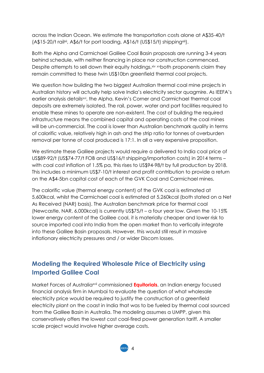across the Indian Ocean. We estimate the transportation costs alone at A\$35-40/t  $(A$15-20/t$  railxii, A\$6/t for port loading, A\$16/t (US\$15/t) shippingxiii).

Both the Alpha and Carmichael Galilee Coal Basin proposals are running 3-4 years behind schedule, with neither financing in place nor construction commenced. Despite attempts to sell down their equity holdings, xiv xvboth proponents claim they remain committed to these twin US\$10bn greenfield thermal coal projects.

We question how building the two biggest Australian thermal coal mine projects in Australian history will actually help solve India's electricity sector quagmire. As IEEFA's earlier analysis detailsxvi, the Alpha, Kevin's Corner and Carmichael thermal coal deposits are extremely isolated. The rail, power, water and port facilities required to enable these mines to operate are non-existent. The cost of building the required infrastructure means the combined capital and operating costs of the coal mines will be un-commercial. The coal is lower than Australian benchmark quality in terms of calorific value, relatively high in ash and the strip ratio for tonnes of overburden removal per tonne of coal produced is 17:1. In all a very expensive proposition.

We estimate these Galilee projects would require a delivered to India coal price of US\$89-92/t (US\$74-77/t FOB and US\$16/t shipping/importation costs) in 2014 terms – with coal cost inflation of 1.5% pa, this rises to US\$94-98/t by full production by 2018. This includes a minimum US\$7-10/t interest and profit contribution to provide a return on the A\$4-5bn capital cost of each of the GVK Coal and Carmichael mines.

The calorific value (thermal energy content) of the GVK coal is estimated at 5,600kcal, whilst the Carmichael coal is estimated at 5,260kcal (both stated on a Net As Received (NAR) basis). The Australian benchmark price for thermal coal (Newcastle, NAR, 6,000kcal) is currently US\$75/t – a four year low. Given the 10-15% lower energy content of the Galilee coal, it is materially cheaper and lower risk to source imported coal into India from the open market than to vertically integrate into these Galilee Basin proposals. However, this would still result in massive inflationary electricity pressures and / or wider Discom losses.

## **Modeling the Required Wholesale Price of Electricity using Imported Galilee Coal**

Market Forces of Australiaxvii commissioned **Equitorials**, an Indian energy focused financial analysis firm in Mumbai to evaluate the question of what wholesale electricity price would be required to justify the construction of a greenfield electricity plant on the coast in India that was to be fueled by thermal coal sourced from the Galilee Basin in Australia. The modeling assumes a UMPP, given this conservatively offers the lowest cost coal-fired power generation tariff. A smaller scale project would involve higher average costs.

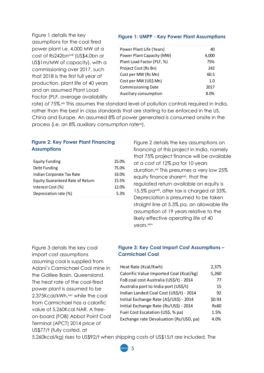Figure 1 details the key assumptions for the coal fired power plant i.e. 4,000 MW at a cost of Rs242bn<sup>xviii</sup> (US\$4.0bn or US\$1m/MW of capacity), with a commissioning over 2017, such that 2018 is the first full year of production, plant life of 40 years and an assumed Plant Load Factor (PLF, average availability

#### **Figure 1: UMPP - Key Power Plant Assumptions**

| Power Plant Life (Years)   | 40    |
|----------------------------|-------|
| Power Plant Capacity (MW)  | 4,000 |
| Plant Load Factor (PLF, %) | 75%   |
| Project Cost (Rs Bn)       | 242   |
| Cost per MW (Rs Mn)        | 60.5  |
| Cost per MW (US\$ Mn)      | 1.0   |
| <b>Commissioning Date</b>  | 2017  |
| Auxiliary consumption      | 8.0%  |

rate) of 75%.<sup>xix</sup> This assumes the standard level of pollution controls required in India, rather than the best in class standards that are starting to be enforced in the US, China and Europe. An assumed 8% of power generated is consumed onsite in the process (i.e. an 8% auxiliary consumption rate<sup>xx</sup>).

#### **Figure 2: Key Power Plant Financing Assumptions**

| <b>Equity Funding</b>                   | 25.0% |
|-----------------------------------------|-------|
| Debt Funding                            | 75.0% |
| Indian Corporate Tax Rate               | 33.0% |
| <b>Equity Guaranteed Rate of Return</b> | 15.5% |
| Interest Cost (%)                       | 12.0% |
| Depreciation rate (%)                   | 5.3%  |

Figure 2 details the key assumptions on financing of this project in India, namely that 75% project finance will be available at a cost of 12% pa for 10 years duration.<sup>xxi</sup> This presumes a very low 25% equity finance share<sup>xxii</sup>, that the regulated return available on equity is 15.5% pa<sup>xxiii</sup>, after tax is charged at 33%. Depreciation is presumed to be taken straight line at 5.3% pa, an allowable life assumption of 19 years relative to the likely effective operating life of 40 years.xxiv

Figure 3 details the key coal import cost assumptions assuming coal is supplied from Adani's Carmichael Coal mine in the Galilee Basin, Queensland. The heat rate of the coal-fired power plant is assumed to be 2.375Kcal/kWh, xxv while the coal from Carmichael has a calorific value of 5,260Kcal NAR. A freeon-board (FOB) Abbot Point Coal Terminal (APCT) 2014 price of US\$77/t (fully costed, at

#### **Figure 3: Key Coal Import Cost Assumptions – Carmichael Coal**

| Heat Rate (Kcal/Kwh)                    | 2,375       |
|-----------------------------------------|-------------|
| Calorific Value Imported Coal (Kcal/kg) | 5,260       |
| FoB coal cost Australia (US\$/t) - 2014 | 77          |
| Australia port to India port (US\$/t)   | 15          |
| Indian Landed Coal Cost (US\$/t) - 2014 | 92          |
| Initial Exchange Rate (A\$/US\$) - 2014 | \$0.93      |
| Initial Exchange Rate (Rs/US\$) - 2014  | <b>Rs60</b> |
| Fuel Cost Escalation (US\$, % pa)       | 1.5%        |
| Exchange rate Devaluation (Rs/USD, pa)  | 4.0%        |

5,260kcal/kg) rises to US\$92/t when shipping costs of US\$15/t are included. The

5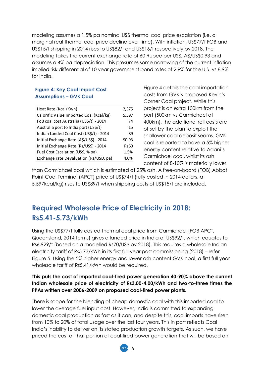modeling assumes a 1.5% pa nominal US\$ thermal coal price escalation (i.e. a marginal real thermal coal price decline over time). With inflation, US\$77/t FOB and US\$15/t shipping in 2014 rises to US\$82/t and US\$16/t respectively by 2018. The modeling takes the current exchange rate of 60 Rupee per US\$, A\$/US\$0.93 and assumes a 4% pa depreciation. This presumes some narrowing of the current inflation implied risk differential of 10 year government bond rates of 2.9% for the U.S. vs 8.9% for India.

#### **Figure 4: Key Coal Import Cost Assumptions – GVK Coal**

| Heat Rate (Kcal/Kwh)                    | 2,375       |
|-----------------------------------------|-------------|
| Calorific Value Imported Coal (Kcal/kg) | 5,597       |
| FoB coal cost Australia (US\$/t) - 2014 | 74          |
| Australia port to India port (US\$/t)   | 15          |
| Indian Landed Coal Cost (US\$/t) - 2014 | 89          |
| Initial Exchange Rate (A\$/US\$) - 2014 | \$0.93      |
| Initial Exchange Rate (Rs/US\$) - 2014  | <b>Rs60</b> |
| Fuel Cost Escalation (US\$, % pa)       | 1.5%        |
| Exchange rate Devaluation (Rs/USD, pa)  | 4.0%        |

Figure 4 details the coal importation costs from GVK's proposed Kevin's Corner Coal project. While this project is an extra 100km from the port (500km vs Carmichael at 400km), the additional rail costs are offset by the plan to exploit the shallower coal deposit seams. GVK coal is reported to have a 5% higher energy content relative to Adani's Carmichael coal, whilst its ash content of 8-10% is materially lower

than Carmichael coal which is estimated at 25% ash. A free-on-board (FOB) Abbot Point Coal Terminal (APCT) price of US\$74/t (fully costed in 2014 dollars, at 5,597kcal/kg) rises to US\$89/t when shipping costs of US\$15/t are included.

# **Required Wholesale Price of Electricity in 2018: Rs5.41-5.73/kWh**

Using the US\$77/t fully costed thermal coal price from Carmichael (FOB APCT, Queensland, 2014 terms) gives a landed price in India of US\$92/t, which equates to Rs6,929/t (based on a modelled Rs70/US\$ by 2018). This requires a wholesale Indian electricity tariff of Rs5.73/kWh in its first full year post commissioning (2018) – refer Figure 5. Using the 5% higher energy and lower ash content GVK coal, a first full year wholesale tariff of Rs5.41/kWh would be required.

#### **This puts the cost of imported coal-fired power generation 40-90% above the current Indian wholesale price of electricity of Rs3.00-4.00/kWh and two-to-three times the PPAs written over 2006-2009 on proposed coal-fired power plants.**

There is scope for the blending of cheap domestic coal with this imported coal to lower the average fuel input cost. However, India is committed to expanding domestic coal production as fast as it can, and despite this, coal imports have risen from 10% to 20% of total usage over the last four years. This in part reflects Coal India's inability to deliver on its stated production growth targets. As such, we have priced the cost of that portion of coal-fired power generation that will be based on

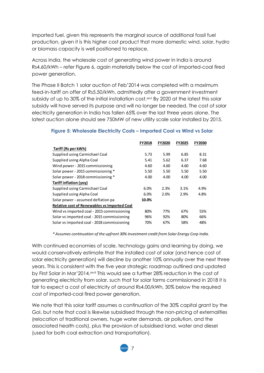imported fuel, given this represents the marginal source of additional fossil fuel production, given it is this higher cost product that more domestic wind, solar, hydro or biomass capacity is well positioned to replace.

Across India, the wholesale cost of generating wind power in India is around Rs4.60/kWh – refer Figure 6, again materially below the cost of imported-coal fired power generation.

The Phase II Batch 1 solar auction of Feb'2014 was completed with a maximum feed-in-tariff on offer of Rs5.50/kWh, admittedly after a government investment subsidy of up to 30% of the initial installation cost.<sup>xxvi</sup> By 2020 at the latest this solar subsidy will have served its purpose and will no longer be needed. The cost of solar electricity generation in India has fallen 65% over the last three years alone. The latest auction alone should see 750MW of new utility scale solar installed by 2015.

| <b>FY2018</b>                                       | <b>FY2020</b> | <b>FY2025</b> | <b>FY2030</b> |  |  |  |  |
|-----------------------------------------------------|---------------|---------------|---------------|--|--|--|--|
|                                                     |               |               |               |  |  |  |  |
| 5.73                                                | 5.99          | 6.85          | 8.31          |  |  |  |  |
| 5.41                                                | 5.62          | 6.37          | 7.68          |  |  |  |  |
| 4.60                                                | 4.60          | 4.60          | 4.60          |  |  |  |  |
| 5.50                                                | 5.50          | 5.50          | 5.50          |  |  |  |  |
| 4.00                                                | 4.00          | 4.00          | 4.00          |  |  |  |  |
|                                                     |               |               |               |  |  |  |  |
| 6.0%                                                | 2.3%          | 3.1%          | 4.9%          |  |  |  |  |
| 6.0%                                                | 2.0%          | 2.9%          | 4.8%          |  |  |  |  |
| 10.0%                                               |               |               |               |  |  |  |  |
| <b>Relative cost of Renewables vs Imported Coal</b> |               |               |               |  |  |  |  |
| 80%                                                 | 77%           | 67%           | 55%           |  |  |  |  |
| 96%                                                 | 92%           | 80%           | 66%           |  |  |  |  |
| 70%                                                 | 67%           | 58%           | 48%           |  |  |  |  |
|                                                     |               |               |               |  |  |  |  |

#### **Figure 5: Wholesale Electricity Costs – Imported Coal vs Wind vs Solar**

*\* Assumes continuation of the upfront 30% investment credit from Solar Energy Corp India.*

With continued economies of scale, technology gains and learning by doing, we would conservatively estimate that the installed cost of solar (and hence cost of solar electricity generation) will decline by another 10% annually over the next three years. This is consistent with the five year strategic roadmap outlined and updated by First Solar in Mar'2014.<sup>xxvii</sup> This would see a further 28% reduction in the cost of generating electricity from solar, such that for solar farms commissioned in 2018 it is fair to expect a cost of electricity of around Rs4.00/kWh, 30% below the required cost of imported-coal fired power generation.

We note that this solar tariff assumes a continuation of the 30% capital grant by the GoI, but note that coal is likewise subsidised through the non-pricing of externalities (relocation of traditional owners, huge water demands, air pollution, and the associated health costs), plus the provision of subsidised land, water and diesel (used for both coal extraction and transportation).

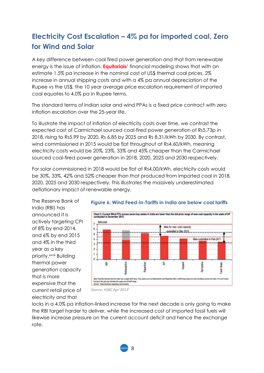# **Electricity Cost Escalation – 4% pa for imported coal, Zero for Wind and Solar**

A key difference between coal fired power generation and that from renewable energy is the issue of inflation. **Equitorials**' financial modeling shows that with an estimate 1.5% pa increase in the nominal cost of US\$ thermal coal prices, 2% increase in annual shipping costs and with a 4% pa annual depreciation of the Rupee vs the US\$, the 10 year average price escalation requirement of imported coal equates to 4.0% pa in Rupee terms.

The standard terms of Indian solar and wind PPAs is a fixed price contract with zero inflation escalation over the 25-year life.

To illustrate the impact of inflation of electricity costs over time, we contrast the expected cost of Carmichael sourced coal-fired power generation of Rs5.73p in 2018, rising to Rs5.99 by 2020, Rs 6.85 by 2025 and Rs 8.31/kWh by 2030. By contrast, wind commissioned in 2015 would be flat throughout at Rs4.60/kWh, meaning electricity costs would be 20%, 23%, 33% and 45% cheaper than the Carmichael sourced coal-fired power generation in 2018, 2020, 2025 and 2030 respectively.

For solar commissioned in 2018 would be flat at Rs4.00/kWh, electricity costs would be 30%, 33%, 42% and 52% cheaper than that produced from imported coal in 2018, 2020, 2025 and 2030 respectively. This illustrates the massively underestimated deflationary impact of renewable energy.

The Reserve Bank of India (RBI) has announced it is actively targeting CPI of 8% by end-2014, and 6% by end 2015 and 4% in the third year as a key priority.<sup>xxviii</sup> Building thermal power generation capacity that is more expensive that the current retail price of electricity and that



#### **Figure 6: Wind Feed-in-Tariffs in India are below coal tariffs**

locks in a 4.0% pa inflation-linked increase for the next decade is only going to make the RBI target harder to deliver, while the increased cost of imported fossil fuels will likewise increase pressure on the current account deficit and hence the exchange rate.

*Source: HSBC Apr'2013*1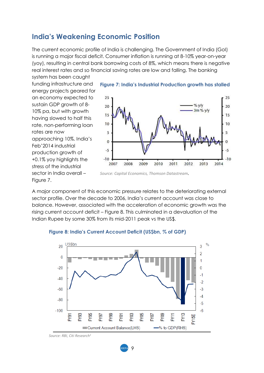## **India's Weakening Economic Position**

The current economic profile of India is challenging. The Government of India (GoI) is running a major fiscal deficit. Consumer inflation is running at 8-10% year-on-year (yoy), resulting in central bank borrowing costs of 8%, which means there is negative real interest rates and so financial saving rates are low and falling. The banking

system has been caught funding infrastructure and energy projects geared for an economy expected to sustain GDP growth of 8- 10% pa, but with growth having slowed to half this rate, non-performing loan rates are now approaching 10%. India's Feb'2014 industrial production growth of +0.1% yoy highlights the stress of the industrial sector in India overall – Figure 7.



**Figure 7: India's Industrial Production growth has stalled**

*Source: Capital Economics, Thomson Datastream.*

A major component of this economic pressure relates to the deteriorating external sector profile. Over the decade to 2006, India's current account was close to balance. However, associated with the acceleration of economic growth was the rising current account deficit – Figure 8. This culminated in a devaluation of the Indian Rupee by some 30% from its mid-2011 peak vs the US\$.



9

#### **Figure 8: India's Current Account Deficit (US\$bn, % of GDP)**

*Source: RBI, Citi Research1*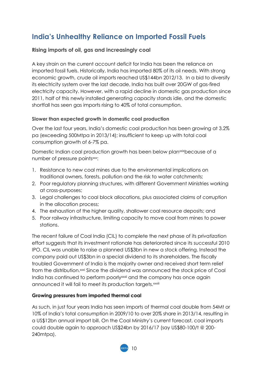# **India's Unhealthy Reliance on Imported Fossil Fuels**

#### **Rising imports of oil, gas and increasingly coal**

A key strain on the current account deficit for India has been the reliance on imported fossil fuels. Historically, India has imported 80% of its oil needs. With strong economic growth, crude oil imports reached US\$144bn 2012/13. In a bid to diversify its electricity system over the last decade, India has built over 20GW of gas-fired electricity capacity. However, with a rapid decline in domestic gas production since 2011, half of this newly installed generating capacity stands idle, and the domestic shortfall has seen gas imports rising to 40% of total consumption.

#### **Slower than expected growth in domestic coal production**

Over the last four years, India's domestic coal production has been growing at 3.2% pa (exceeding 500Mtpa in 2013/14); insufficient to keep up with total coal consumption growth of 6-7% pa.

Domestic Indian coal production growth has been below planxix because of a number of pressure pointsxxx:

- 1. Resistance to new coal mines due to the environmental implications on traditional owners, forests, pollution and the risk to water catchments;
- 2. Poor regulatory planning structures, with different Government Ministries working at cross-purposes;
- 3. Legal challenges to coal block allocations, plus associated claims of corruption in the allocation process;
- 4. The exhaustion of the higher quality, shallower coal resource deposits; and
- 5. Poor railway infrastructure, limiting capacity to move coal from mines to power stations.

The recent failure of Coal India (CIL) to complete the next phase of its privatization effort suggests that its investment rationale has deteriorated since its successful 2010 IPO. CIL was unable to raise a planned US\$3bn in new a stock offering. Instead the company paid out US\$3bn in a special dividend to its shareholders. The fiscally troubled Government of India is the majority owner and received short term relief from the distribution.<sup>xxi</sup> Since the dividend was announced the stock price of Coal India has continued to perform poorly<sup>xxxii</sup> and the company has once again announced it will fail to meet its production targets.<sup>xxxiii</sup>

#### **Growing pressures from imported thermal coal**

As such, in just four years India has seen imports of thermal coal double from 54Mt or 10% of India's total consumption in 2009/10 to over 20% share in 2013/14, resulting in a US\$12bn annual import bill. On the Coal Ministry's current forecast, coal imports could double again to approach US\$24bn by 2016/17 (say US\$80-100/t @ 200- 240mtpa).

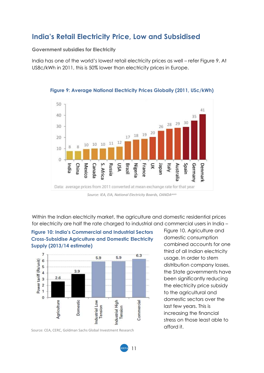## **India's Retail Electricity Price, Low and Subsidised**

**Government subsidies for Electricity**

India has one of the world's lowest retail electricity prices as well – refer Figure 9. At US8c/kWh in 2011, this is 50% lower than electricity prices in Europe.



**Figure 9: Average National Electricity Prices Globally (2011, USc/kWh)**

Within the Indian electricity market, the agriculture and domestic residential prices for electricity are half the rate charged to industrial and commercial users in India –

**Figure 10: India's Commercial and Industrial Sectors Cross-Subsidise Agriculture and Domestic Electricity Supply (2013/14 estimate)**



Source: CEA, CERC, Goldman Sachs Global Investment Research

Figure 10. Agriculture and domestic consumption combined accounts for one third of all Indian electricity usage. In order to stem distribution company losses, the State governments have been significantly reducing the electricity price subsidy to the agricultural and domestic sectors over the last few years. This is increasing the financial stress on those least able to afford it.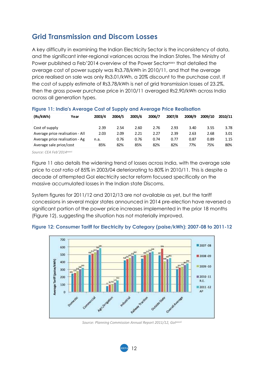## **Grid Transmission and Discom Losses**

A key difficulty in examining the Indian Electricity Sector is the inconsistency of data, and the significant inter-regional variances across the Indian States. The Ministry of Power published a Feb'2014 overview of the Power Sector<sup>xxxv</sup> that detailed the average cost of power supply was Rs3.78/kWh in 2010/11, and that the average price realised on sale was only Rs3.01/kWh, a 20% discount to the purchase cost. If the cost of supply estimate of Rs3.78/kWh is net of grid transmission losses of 23.2%, then the gross power purchase price in 2010/11 averaged Rs2.90/kWh across India across all generation types.

| (Rs/kWh)<br>Year                | 2003/4 | 2004/5 | 2005/6 | 2006/7 | 2007/8 | 2008/9 | 2009/10 | 2010/11 |
|---------------------------------|--------|--------|--------|--------|--------|--------|---------|---------|
| Cost of supply                  | 2.39   | 2.54   | 2.60   | 2.76   | 2.93   | 3.40   | 3.55    | 3.78    |
| Average price realisation - All | 2.03   | 2.09   | 2.21   | 2.27   | 2.39   | 2.63   | 2.68    | 3.01    |
| Average price realisation - Ag  | n.a.   | 0.76   | 0.76   | 0.74   | 0.77   | 0.87   | 0.89    | 1.15    |
| Average sale price/cost         | 85%    | 82%    | 85%    | 82%    | 82%    | 77%    | 75%     | 80%     |

#### **Figure 11: India's Average Cost of Supply and Average Price Realisation**

*Source: CEA Feb'2014*xxxvi

Figure 11 also details the widening trend of losses across India, with the average sale price to cost ratio of 85% in 2003/04 deteriorating to 80% in 2010/11. This is despite a decade of attempted GoI electricity sector reform focused specifically on the massive accumulated losses in the Indian state Discoms.

System figures for 2011/12 and 2012/13 are not available as yet, but the tariff concessions in several major states announced in 2014 pre-election have reversed a significant portion of the power price increases implemented in the prior 18 months (Figure 12), suggesting the situation has not materially improved.





*Source: Planning Commission Annual Report 2011/12, GoIxxxvii*

12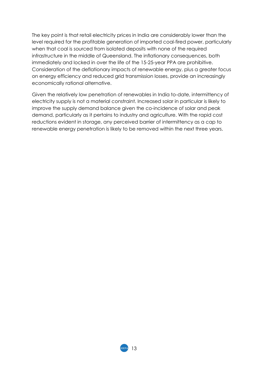The key point is that retail electricity prices in India are considerably lower than the level required for the profitable generation of imported coal-fired power, particularly when that coal is sourced from isolated deposits with none of the required infrastructure in the middle of Queensland. The inflationary consequences, both immediately and locked in over the life of the 15-25-year PPA are prohibitive. Consideration of the deflationary impacts of renewable energy, plus a greater focus on energy efficiency and reduced grid transmission losses, provide an increasingly economically rational alternative.

Given the relatively low penetration of renewables in India to-date, intermittency of electricity supply is not a material constraint. Increased solar in particular is likely to improve the supply demand balance given the co-incidence of solar and peak demand, particularly as it pertains to industry and agriculture. With the rapid cost reductions evident in storage, any perceived barrier of intermittency as a cap to renewable energy penetration is likely to be removed within the next three years.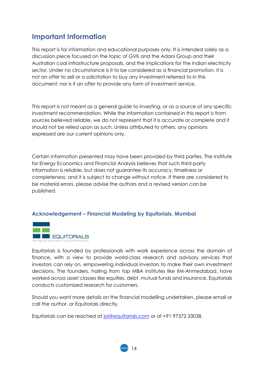## **Important Information**

This report is for information and educational purposes only. It is intended solely as a discussion piece focused on the topic of GVK and the Adani Group and their Australian coal infrastructure proposals, and the implications for the Indian electricity sector. Under no circumstance is it to be considered as a financial promotion. It is not an offer to sell or a solicitation to buy any investment referred to in this document; nor is it an offer to provide any form of investment service.

This report is not meant as a general guide to investing, or as a source of any specific investment recommendation. While the information contained in this report is from sources believed reliable, we do not represent that it is accurate or complete and it should not be relied upon as such. Unless attributed to others, any opinions expressed are our current opinions only.

Certain information presented may have been provided by third parties. The Institute for Energy Economics and Financial Analysis believes that such third-party information is reliable, but does not guarantee its accuracy, timeliness or completeness; and it is subject to change without notice. If there are considered to be material errors, please advise the authors and a revised version can be published.

#### **Acknowledgement – Financial Modeling by Equitorials, Mumbai**



Equitorials is founded by professionals with work experience across the domain of finance, with a view to provide world-class research and advisory services that investors can rely on, empowering individual investors to make their own investment decisions. The founders, hailing from top MBA institutes like IIM-Ahmedabad, have worked across asset classes like equities, debt, mutual funds and insurance. Equitorials conducts customized research for customers.

Should you want more details on the financial modelling undertaken, please email or call the author, or Equitorials directly.

Equitorials can be reached at [jai@equitorials.com](mailto:jai@equitorials.com) or at +91 97372 33038.